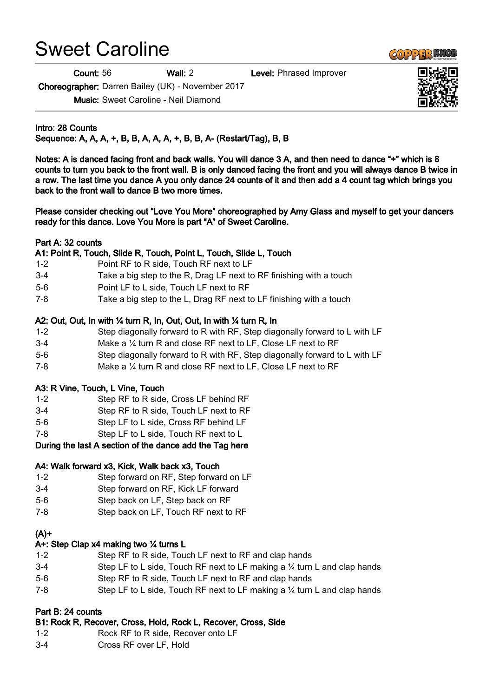# Sweet Caroline

Count: 56 Wall: 2 Level: Phrased Improver

Choreographer: Darren Bailey (UK) - November 2017

Music: Sweet Caroline - Neil Diamond

Intro: 28 Counts Sequence: A, A, A, +, B, B, A, A, A, +, B, B, A- (Restart/Tag), B, B

Notes: A is danced facing front and back walls. You will dance 3 A, and then need to dance "+" which is 8 counts to turn you back to the front wall. B is only danced facing the front and you will always dance B twice in a row. The last time you dance A you only dance 24 counts of it and then add a 4 count tag which brings you back to the front wall to dance B two more times.

Please consider checking out "Love You More" choreographed by Amy Glass and myself to get your dancers ready for this dance. Love You More is part "A" of Sweet Caroline.

#### Part A: 32 counts

# A1: Point R, Touch, Slide R, Touch, Point L, Touch, Slide L, Touch

- 1-2 Point RF to R side, Touch RF next to LF
- 3-4 Take a big step to the R, Drag LF next to RF finishing with a touch
- 5-6 Point LF to L side, Touch LF next to RF
- 7-8 Take a big step to the L, Drag RF next to LF finishing with a touch

# A2: Out, Out, In with ¼ turn R, In, Out, Out, In with ¼ turn R, In

- 1-2 Step diagonally forward to R with RF, Step diagonally forward to L with LF
- 3-4 Make a ¼ turn R and close RF next to LF, Close LF next to RF
- 5-6 Step diagonally forward to R with RF, Step diagonally forward to L with LF
- 7-8 Make a ¼ turn R and close RF next to LF, Close LF next to RF

#### A3: R Vine, Touch, L Vine, Touch

- 1-2 Step RF to R side, Cross LF behind RF
- 3-4 Step RF to R side, Touch LF next to RF
- 5-6 Step LF to L side, Cross RF behind LF
- 7-8 Step LF to L side, Touch RF next to L

#### During the last A section of the dance add the Tag here

#### A4: Walk forward x3, Kick, Walk back x3, Touch

- 1-2 Step forward on RF, Step forward on LF
- 3-4 Step forward on RF, Kick LF forward
- 5-6 Step back on LF, Step back on RF
- 7-8 Step back on LF, Touch RF next to RF

#### $(A)$ +

#### A+: Step Clap x4 making two ¼ turns L

- 1-2 Step RF to R side, Touch LF next to RF and clap hands
- 3-4 Step LF to L side, Touch RF next to LF making a ¼ turn L and clap hands
- 5-6 Step RF to R side, Touch LF next to RF and clap hands
- 7-8 Step LF to L side, Touch RF next to LF making a 1/4 turn L and clap hands

# Part B: 24 counts

# B1: Rock R, Recover, Cross, Hold, Rock L, Recover, Cross, Side

- 1-2 Rock RF to R side, Recover onto LF
- 3-4 Cross RF over LF, Hold